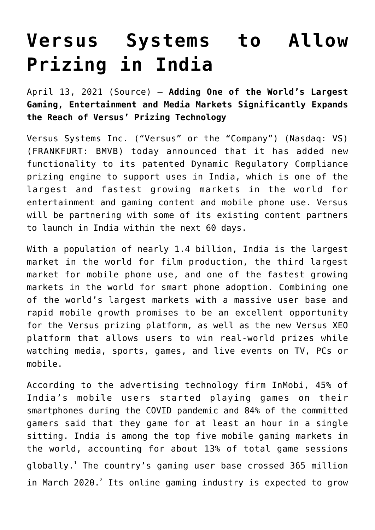## **[Versus Systems to Allow](https://investorintel.com/markets/esports-gaming/esports-gaming-news/versus-systems-to-allow-prizing-in-india/) [Prizing in India](https://investorintel.com/markets/esports-gaming/esports-gaming-news/versus-systems-to-allow-prizing-in-india/)**

April 13, 2021 ([Source](http://www.globenewswire.com/news-release/2021/04/13/2208938/0/en/Versus-Systems-to-Allow-Prizing-in-India.html)) — **Adding One of the World's Largest Gaming, Entertainment and Media Markets Significantly Expands the Reach of Versus' Prizing Technology**

Versus Systems Inc. ("Versus" or the "Company") (Nasdaq: VS) (FRANKFURT: BMVB) today announced that it has added new functionality to its patented Dynamic Regulatory Compliance prizing engine to support uses in India, which is one of the largest and fastest growing markets in the world for entertainment and gaming content and mobile phone use. Versus will be partnering with some of its existing content partners to launch in India within the next 60 days.

With a population of nearly 1.4 billion, India is the largest market in the world for film production, the third largest market for mobile phone use, and one of the fastest growing markets in the world for smart phone adoption. Combining one of the world's largest markets with a massive user base and rapid mobile growth promises to be an excellent opportunity for the Versus prizing platform, as well as the new Versus XEO platform that allows users to win real-world prizes while watching media, sports, games, and live events on TV, PCs or mobile.

According to the advertising technology firm InMobi, 45% of India's mobile users started playing games on their smartphones during the COVID pandemic and 84% of the committed gamers said that they game for at least an hour in a single sitting. India is among the top five mobile gaming markets in the world, accounting for about 13% of total game sessions <code>globally</code>. $^{\rm l}$  The country's gaming user base crossed 365 million in March 2020.<sup>2</sup> Its online gaming industry is expected to grow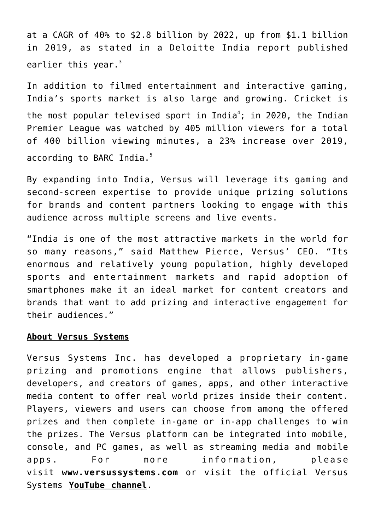at a CAGR of 40% to \$2.8 billion by 2022, up from \$1.1 billion in 2019, as stated in a Deloitte India report published earlier this year. $3$ 

In addition to filmed entertainment and interactive gaming, India's sports market is also large and growing. Cricket is the most popular televised sport in India<sup>4</sup>; in 2020, the Indian Premier League was watched by 405 million viewers for a total of 400 billion viewing minutes, a 23% increase over 2019, according to BARC India.<sup>5</sup>

By expanding into India, Versus will leverage its gaming and second-screen expertise to provide unique prizing solutions for brands and content partners looking to engage with this audience across multiple screens and live events.

"India is one of the most attractive markets in the world for so many reasons," said Matthew Pierce, Versus' CEO. "Its enormous and relatively young population, highly developed sports and entertainment markets and rapid adoption of smartphones make it an ideal market for content creators and brands that want to add prizing and interactive engagement for their audiences."

## **About Versus Systems**

Versus Systems Inc. has developed a proprietary in-game prizing and promotions engine that allows publishers, developers, and creators of games, apps, and other interactive media content to offer real world prizes inside their content. Players, viewers and users can choose from among the offered prizes and then complete in-game or in-app challenges to win the prizes. The Versus platform can be integrated into mobile, console, and PC games, as well as streaming media and mobile apps. For more information, please visit **[www.versussystems.com](https://www.globenewswire.com/Tracker?data=aEOeLIp8Y6Y9e_8OrugrKJChyyBgAVMrKNJsM4G35uudSgqgYUkS4-RWBqnhaeYHzUH79ZD27cSZSmyTO7dh2GXzhXVmkVJfxr_A1ECOpAE=)** or visit the official Versus Systems **[YouTube channel](https://www.globenewswire.com/Tracker?data=ZnnGlMichuhe62qjfO5LnVti3cYCeSAKpSES1FZ37pP8lpfaamj5iLjCEJ217bHcIbxHzM7CA7ayKT8fi3uEmyvf2IQiq844B0I1GM3_PJouvtqVzUdhE25gXhVc6qf_)**.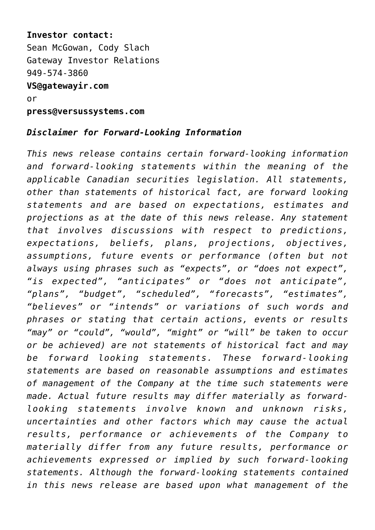**Investor contact:** Sean McGowan, Cody Slach Gateway Investor Relations 949-574-3860 **[VS@gatewayir.com](https://www.globenewswire.com/Tracker?data=AgPgC7xUkHRD5HIJCMiU3pBKm_DVk1rVuQuQzdAX0wUeRovM5u5A3hJ0RSU19m3B0wvfvHOiqENKgszJSYSYug==)** or **[press@versussystems.com](https://www.globenewswire.com/Tracker?data=ivhZnODrRdk_XwDgU1W5JsfNyyGVbvDMIpqBSEW3JHtYc6YzCRFKyB99HWx8tu2tLx1hAFpNSCwThjCYvRBsl-22hGallbrjMAEKfllBaLA=)**

## *Disclaimer for Forward-Looking Information*

*This news release contains certain forward-looking information and forward-looking statements within the meaning of the applicable Canadian securities legislation. All statements, other than statements of historical fact, are forward looking statements and are based on expectations, estimates and projections as at the date of this news release. Any statement that involves discussions with respect to predictions, expectations, beliefs, plans, projections, objectives, assumptions, future events or performance (often but not always using phrases such as "expects", or "does not expect", "is expected", "anticipates" or "does not anticipate", "plans", "budget", "scheduled", "forecasts", "estimates", "believes" or "intends" or variations of such words and phrases or stating that certain actions, events or results "may" or "could", "would", "might" or "will" be taken to occur or be achieved) are not statements of historical fact and may be forward looking statements. These forward-looking statements are based on reasonable assumptions and estimates of management of the Company at the time such statements were made. Actual future results may differ materially as forwardlooking statements involve known and unknown risks, uncertainties and other factors which may cause the actual results, performance or achievements of the Company to materially differ from any future results, performance or achievements expressed or implied by such forward-looking statements. Although the forward-looking statements contained in this news release are based upon what management of the*